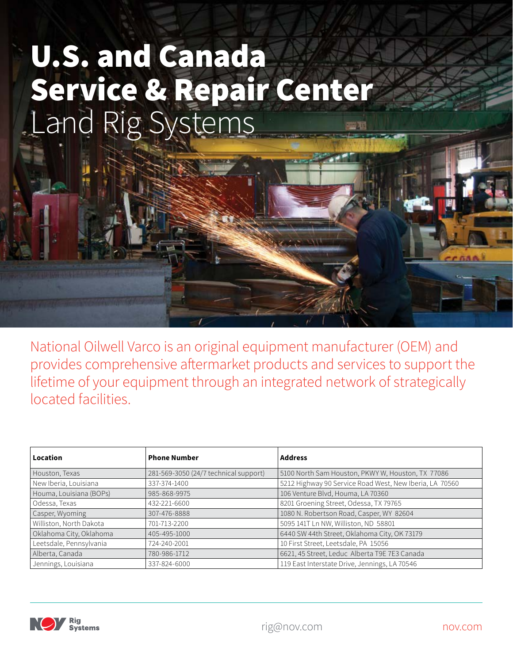## U.S. and Canada Service & Repair Center Land Rig Systems

National Oilwell Varco is an original equipment manufacturer (OEM) and provides comprehensive aftermarket products and services to support the lifetime of your equipment through an integrated network of strategically located facilities.

| Location                | <b>Phone Number</b>                   | <b>Address</b>                                          |
|-------------------------|---------------------------------------|---------------------------------------------------------|
| Houston, Texas          | 281-569-3050 (24/7 technical support) | 5100 North Sam Houston, PKWY W, Houston, TX 77086       |
| New Iberia, Louisiana   | 337-374-1400                          | 5212 Highway 90 Service Road West, New Iberia, LA 70560 |
| Houma, Louisiana (BOPs) | 985-868-9975                          | 106 Venture Blvd, Houma, LA 70360                       |
| Odessa, Texas           | 432-221-6600                          | 8201 Groening Street, Odessa, TX 79765                  |
| Casper, Wyoming         | 307-476-8888                          | 1080 N. Robertson Road, Casper, WY 82604                |
| Williston, North Dakota | 701-713-2200                          | 5095 141T Ln NW, Williston, ND 58801                    |
| Oklahoma City, Oklahoma | 405-495-1000                          | 6440 SW 44th Street, Oklahoma City, OK 73179            |
| Leetsdale, Pennsylvania | 724-240-2001                          | 10 First Street, Leetsdale, PA 15056                    |
| Alberta, Canada         | 780-986-1712                          | 6621, 45 Street, Leduc Alberta T9E 7E3 Canada           |
| Jennings, Louisiana     | 337-824-6000                          | 119 East Interstate Drive, Jennings, LA 70546           |